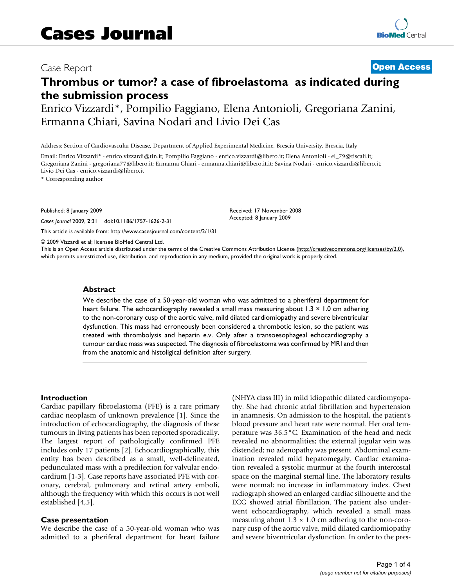## Case Report **[Open Access](http://www.biomedcentral.com/info/about/charter/)**

# **Thrombus or tumor? a case of fibroelastoma as indicated during the submission process**

Enrico Vizzardi\*, Pompilio Faggiano, Elena Antonioli, Gregoriana Zanini, Ermanna Chiari, Savina Nodari and Livio Dei Cas

Address: Section of Cardiovascular Disease, Department of Applied Experimental Medicine, Brescia University, Brescia, Italy

Email: Enrico Vizzardi\* - enrico.vizzardi@tin.it; Pompilio Faggiano - enrico.vizzardi@libero.it; Elena Antonioli - el\_79@tiscali.it; Gregoriana Zanini - gregoriana77@libero.it; Ermanna Chiari - ermanna.chiari@libero.it.it; Savina Nodari - enrico.vizzardi@libero.it; Livio Dei Cas - enrico.vizzardi@libero.it

\* Corresponding author

Published: 8 January 2009

*Cases Journal* 2009, **2**:31 doi:10.1186/1757-1626-2-31

[This article is available from: http://www.casesjournal.com/content/2/1/31](http://www.casesjournal.com/content/2/1/31)

© 2009 Vizzardi et al; licensee BioMed Central Ltd.

This is an Open Access article distributed under the terms of the Creative Commons Attribution License [\(http://creativecommons.org/licenses/by/2.0\)](http://creativecommons.org/licenses/by/2.0), which permits unrestricted use, distribution, and reproduction in any medium, provided the original work is properly cited.

Received: 17 November 2008 Accepted: 8 January 2009

#### **Abstract**

We describe the case of a 50-year-old woman who was admitted to a pheriferal department for heart failure. The echocardiography revealed a small mass measuring about 1.3  $\times$  1.0 cm adhering to the non-coronary cusp of the aortic valve, mild dilated cardiomiopathy and severe biventricular dysfunction. This mass had erroneously been considered a thrombotic lesion, so the patient was treated with thrombolysis and heparin e.v. Only after a transoesophageal echocardiography a tumour cardiac mass was suspected. The diagnosis of fibroelastoma was confirmed by MRI and then from the anatomic and histoligical definition after surgery.

#### **Introduction**

Cardiac papillary fibroelastoma (PFE) is a rare primary cardiac neoplasm of unknown prevalence [[1](#page-3-0)]. Since the introduction of echocardiography, the diagnosis of these tumours in living patients has been reported sporadically. The largest report of pathologically confirmed PFE includes only 17 patients [[2](#page-3-1)]. Echocardiographically, this entity has been described as a small, well-delineated, pedunculated mass with a predilection for valvular endocardium [\[1](#page-3-0)-[3\]](#page-3-2). Case reports have associated PFE with coronary, cerebral, pulmonary and retinal artery emboli, although the frequency with which this occurs is not well established [\[4,](#page-3-3)[5](#page-3-4)].

#### **Case presentation**

We describe the case of a 50-year-old woman who was admitted to a pheriferal department for heart failure (NHYA class III) in mild idiopathic dilated cardiomyopathy. She had chronic atrial fibrillation and hypertension in anamnesis. On admission to the hospital, the patient's blood pressure and heart rate were normal. Her oral temperature was 36.5°C. Examination of the head and neck revealed no abnormalities; the external jugular vein was distended; no adenopathy was present. Abdominal examination revealed mild hepatomegaly. Cardiac examination revealed a systolic murmur at the fourth intercostal space on the marginal sternal line. The laboratory results were normal; no increase in inflammatory index. Chest radiograph showed an enlarged cardiac silhouette and the ECG showed atrial fibrillation. The patient also underwent echocardiography, which revealed a small mass measuring about  $1.3 \times 1.0$  cm adhering to the non-coronary cusp of the aortic valve, mild dilated cardiomiopathy and severe biventricular dysfunction. In order to the pres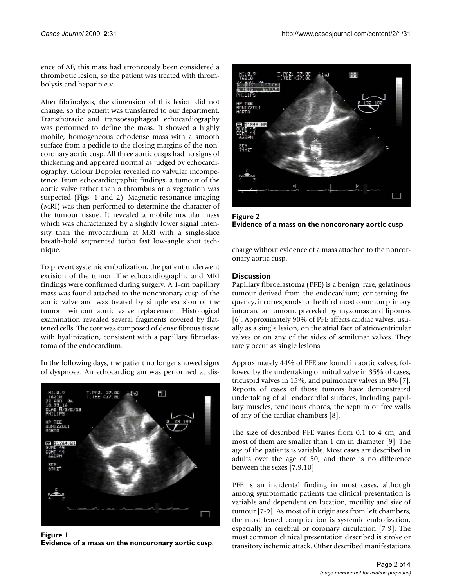ence of AF, this mass had erroneously been considered a thrombotic lesion, so the patient was treated with thrombolysis and heparin e.v.

After fibrinolysis, the dimension of this lesion did not change, so the patient was transferred to our department. Transthoracic and transoesophageal echocardiography was performed to define the mass. It showed a highly mobile, homogeneous echodense mass with a smooth surface from a pedicle to the closing margins of the noncoronary aortic cusp. All three aortic cusps had no signs of thickening and appeared normal as judged by echocardiography. Colour Doppler revealed no valvular incompetence. From echocardiographic findings, a tumour of the aortic valve rather than a thrombus or a vegetation was suspected (Figs. [1](#page-1-0) and [2](#page-1-1)). Magnetic resonance imaging (MRI) was then performed to determine the character of the tumour tissue. It revealed a mobile nodular mass which was characterized by a slightly lower signal intensity than the myocardium at MRI with a single-slice breath-hold segmented turbo fast low-angle shot technique.

To prevent systemic embolization, the patient underwent excision of the tumor. The echocardiographic and MRI findings were confirmed during surgery. A 1-cm papillary mass was found attached to the noncoronary cusp of the aortic valve and was treated by simple excision of the tumour without aortic valve replacement. Histological examination revealed several fragments covered by flattened cells. The core was composed of dense fibrous tissue with hyalinization, consistent with a papillary fibroelastoma of the endocardium.

In the following days, the patient no longer showed signs of dyspnoea. An echocardiogram was performed at dis-

<span id="page-1-0"></span>

**Figure 1 Evidence of a mass on the noncoronary aortic cusp**.

<span id="page-1-1"></span>

Figure 2 **Evidence of a mass on the noncoronary aortic cusp**.

charge without evidence of a mass attached to the noncoronary aortic cusp.

### **Discussion**

Papillary fibroelastoma (PFE) is a benign, rare, gelatinous tumour derived from the endocardium; concerning frequency, it corresponds to the third most common primary intracardiac tumour, preceded by myxomas and lipomas [[6\]](#page-3-5). Approximately 90% of PFE affects cardiac valves, usually as a single lesion, on the atrial face of atrioventricular valves or on any of the sides of semilunar valves. They rarely occur as single lesions.

Approximately 44% of PFE are found in aortic valves, followed by the undertaking of mitral valve in 35% of cases, tricuspid valves in 15%, and pulmonary valves in 8% [[7](#page-3-6)]. Reports of cases of those tumors have demonstrated undertaking of all endocardial surfaces, including papillary muscles, tendinous chords, the septum or free walls of any of the cardiac chambers [[8\]](#page-3-7).

The size of described PFE varies from 0.1 to 4 cm, and most of them are smaller than 1 cm in diameter [\[9\]](#page-3-8). The age of the patients is variable. Most cases are described in adults over the age of 50, and there is no difference between the sexes [[7](#page-3-6),[9](#page-3-8),[10](#page-3-9)].

PFE is an incidental finding in most cases, although among symptomatic patients the clinical presentation is variable and dependent on location, motility and size of tumour [[7](#page-3-6)[-9\]](#page-3-8). As most of it originates from left chambers, the most feared complication is systemic embolization, especially in cerebral or coronary circulation [[7](#page-3-6)[-9\]](#page-3-8). The most common clinical presentation described is stroke or transitory ischemic attack. Other described manifestations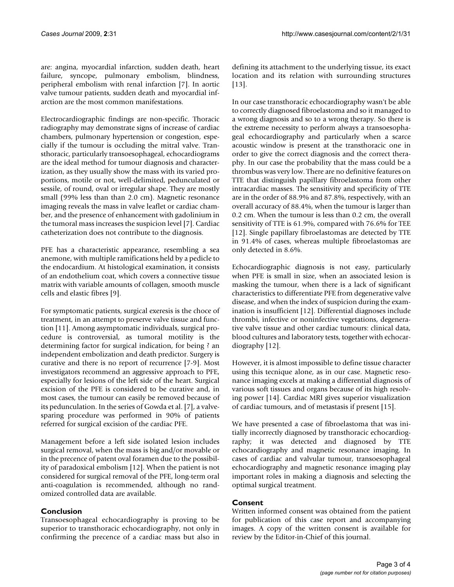are: angina, myocardial infarction, sudden death, heart failure, syncope, pulmonary embolism, blindness, peripheral embolism with renal infarction [\[7\]](#page-3-6). In aortic valve tumour patients, sudden death and myocardial infarction are the most common manifestations.

Electrocardiographic findings are non-specific. Thoracic radiography may demonstrate signs of increase of cardiac chambers, pulmonary hypertension or congestion, especially if the tumour is occluding the mitral valve. Transthoracic, particularly transoesophageal, echocardiograms are the ideal method for tumour diagnosis and characterization, as they usually show the mass with its varied proportions, motile or not, well-delimited, pedunculated or sessile, of round, oval or irregular shape. They are mostly small (99% less than than 2.0 cm). Magnetic resonance imaging reveals the mass in valve leaflet or cardiac chamber, and the presence of enhancement with gadolinium in the tumoral mass increases the suspicion level [[7](#page-3-6)]. Cardiac catheterization does not contribute to the diagnosis.

PFE has a characteristic appearance, resembling a sea anemone, with multiple ramifications held by a pedicle to the endocardium. At histological examination, it consists of an endothelium coat, which covers a connective tissue matrix with variable amounts of collagen, smooth muscle cells and elastic fibres [\[9](#page-3-8)].

For symptomatic patients, surgical exeresis is the choce of treatment, in an attempt to preserve valve tissue and function [\[11\]](#page-3-10). Among asymptomatic individuals, surgical procedure is controversial, as tumoral motility is the determining factor for surgical indication, for being ? an independent embolization and death predictor. Surgery is curative and there is no report of recurrence [[7](#page-3-6)[-9\]](#page-3-8). Most investigators recommend an aggressive approach to PFE, especially for lesions of the left side of the heart. Surgical excision of the PFE is considered to be curative and, in most cases, the tumour can easily be removed because of its pedunculation. In the series of Gowda et al. [[7](#page-3-6)], a valvesparing procedure was performed in 90% of patients referred for surgical excision of the cardiac PFE.

Management before a left side isolated lesion includes surgical removal, when the mass is big and/or movable or in the precence of patent oval foramen due to the possibility of paradoxical embolism [\[12](#page-3-11)]. When the patient is not considered for surgical removal of the PFE, long-term oral anti-coagulation is recommended, although no randomized controlled data are available.

### **Conclusion**

Transoesophageal echocardiography is proving to be superior to transthoracic echocardiography, not only in confirming the precence of a cardiac mass but also in

defining its attachment to the underlying tissue, its exact location and its relation with surrounding structures [[13](#page-3-12)].

In our case transthoracic echocardiography wasn't be able to correctly diagnosed fibroelastoma and so it managed to a wrong diagnosis and so to a wrong therapy. So there is the extreme necessity to perform always a transoesophageal echocardiography and particularly when a scarce acoustic window is present at the transthoracic one in order to give the correct diagnosis and the correct theraphy. In our case the probability that the mass could be a thrombus was very low. There are no definitive features on TTE that distinguish papillary fibroelastoma from other intracardiac masses. The sensitivity and specificity of TTE are in the order of 88.9% and 87.8%, respectively, with an overall accuracy of 88.4%, when the tumour is larger than 0.2 cm. When the tumour is less than 0.2 cm, the overall sensitivity of TTE is 61.9%, compared with 76.6% for TEE [[12](#page-3-11)]. Single papillary fibroelastomas are detected by TTE in 91.4% of cases, whereas multiple fibroelastomas are only detected in 8.6%.

Echocardiographic diagnosis is not easy, particularly when PFE is small in size, when an associated lesion is masking the tumour, when there is a lack of significant characteristics to differentiate PFE from degenerative valve disease, and when the index of suspicion during the examination is insufficient [[12\]](#page-3-11). Differential diagnoses include thrombi, infective or noninfective vegetations, degenerative valve tissue and other cardiac tumours: clinical data, blood cultures and laboratory tests, together with echocardiography [[12\]](#page-3-11).

However, it is almost impossible to define tissue character using this tecnique alone, as in our case. Magnetic resonance imaging excels at making a differential diagnosis of various soft tissues and organs because of its high resolving power [\[14](#page-3-13)]. Cardiac MRI gives superior visualization of cardiac tumours, and of metastasis if present [\[15](#page-3-14)].

We have presented a case of fibroelastoma that was initially incorrectly diagnosed by transthoracic echocardiography; it was detected and diagnosed by TTE echocardiography and magnetic resonance imaging. In cases of cardiac and valvular tumour, transoesophageal echocardiography and magnetic resonance imaging play important roles in making a diagnosis and selecting the optimal surgical treatment.

### **Consent**

Written informed consent was obtained from the patient for publication of this case report and accompanying images. A copy of the written consent is available for review by the Editor-in-Chief of this journal.